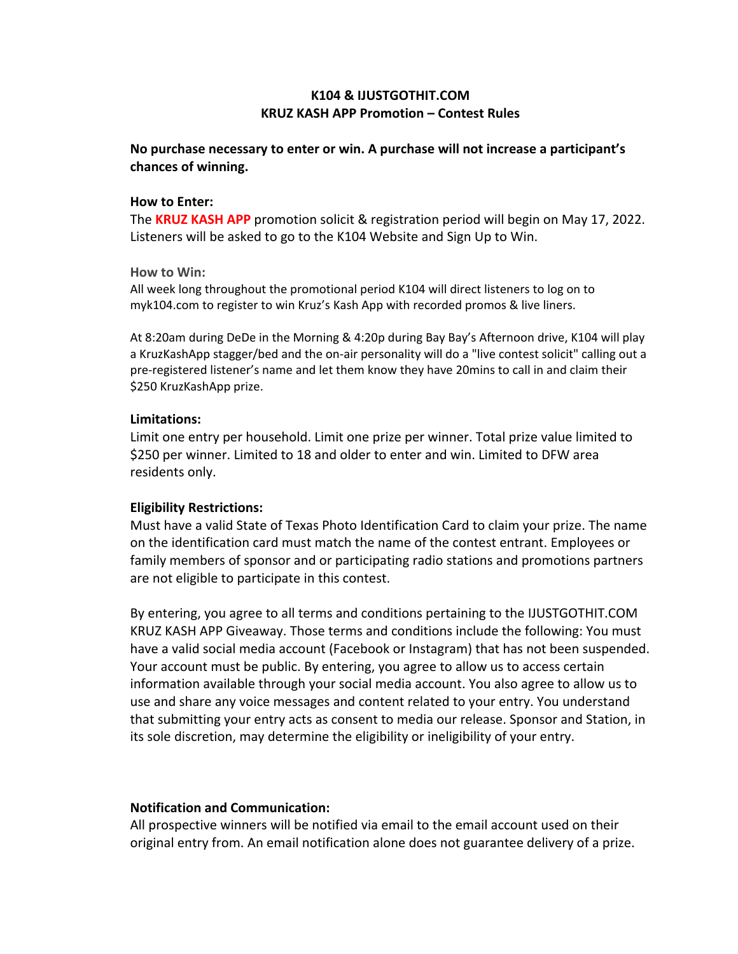# **K104 & IJUSTGOTHIT.COM KRUZ KASH APP Promotion – Contest Rules**

# **No purchase necessary to enter or win. A purchase will not increase a participant's chances of winning.**

#### **How to Enter:**

The **KRUZ KASH APP** promotion solicit & registration period will begin on May 17, 2022. Listeners will be asked to go to the K104 Website and Sign Up to Win.

#### **How to Win:**

All week long throughout the promotional period K104 will direct listeners to log on to myk104.com to register to win Kruz's Kash App with recorded promos & live liners.

At 8:20am during DeDe in the Morning & 4:20p during Bay Bay's Afternoon drive, K104 will play a KruzKashApp stagger/bed and the on-air personality will do a "live contest solicit" calling out a pre-registered listener's name and let them know they have 20mins to call in and claim their \$250 KruzKashApp prize.

## **Limitations:**

Limit one entry per household. Limit one prize per winner. Total prize value limited to \$250 per winner. Limited to 18 and older to enter and win. Limited to DFW area residents only.

### **Eligibility Restrictions:**

Must have a valid State of Texas Photo Identification Card to claim your prize. The name on the identification card must match the name of the contest entrant. Employees or family members of sponsor and or participating radio stations and promotions partners are not eligible to participate in this contest.

By entering, you agree to all terms and conditions pertaining to the IJUSTGOTHIT.COM KRUZ KASH APP Giveaway. Those terms and conditions include the following: You must have a valid social media account (Facebook or Instagram) that has not been suspended. Your account must be public. By entering, you agree to allow us to access certain information available through your social media account. You also agree to allow us to use and share any voice messages and content related to your entry. You understand that submitting your entry acts as consent to media our release. Sponsor and Station, in its sole discretion, may determine the eligibility or ineligibility of your entry.

### **Notification and Communication:**

All prospective winners will be notified via email to the email account used on their original entry from. An email notification alone does not guarantee delivery of a prize.